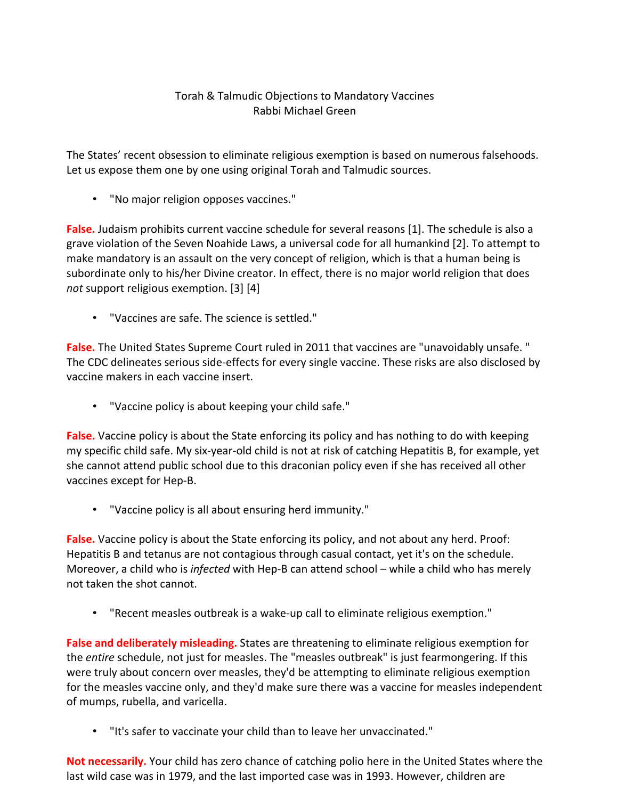## Torah & Talmudic Objections to Mandatory Vaccines Rabbi Michael Green

The States' recent obsession to eliminate religious exemption is based on numerous falsehoods. Let us expose them one by one using original Torah and Talmudic sources.

• "No major religion opposes vaccines."

**False.** Judaism prohibits current vaccine schedule for several reasons [1]. The schedule is also a grave violation of the Seven Noahide Laws, a universal code for all humankind [2]. To attempt to make mandatory is an assault on the very concept of religion, which is that a human being is subordinate only to his/her Divine creator. In effect, there is no major world religion that does *not* support religious exemption. [3] [4]

• "Vaccines are safe. The science is settled."

**False.** The United States Supreme Court ruled in 2011 that vaccines are "unavoidably unsafe. " The CDC delineates serious side-effects for every single vaccine. These risks are also disclosed by vaccine makers in each vaccine insert.

• "Vaccine policy is about keeping your child safe."

**False.** Vaccine policy is about the State enforcing its policy and has nothing to do with keeping my specific child safe. My six-year-old child is not at risk of catching Hepatitis B, for example, yet she cannot attend public school due to this draconian policy even if she has received all other vaccines except for Hep-B.

• "Vaccine policy is all about ensuring herd immunity."

**False.** Vaccine policy is about the State enforcing its policy, and not about any herd. Proof: Hepatitis B and tetanus are not contagious through casual contact, yet it's on the schedule. Moreover, a child who is *infected* with Hep-B can attend school – while a child who has merely not taken the shot cannot.

• "Recent measles outbreak is a wake-up call to eliminate religious exemption."

**False and deliberately misleading.** States are threatening to eliminate religious exemption for the *entire* schedule, not just for measles. The "measles outbreak" is just fearmongering. If this were truly about concern over measles, they'd be attempting to eliminate religious exemption for the measles vaccine only, and they'd make sure there was a vaccine for measles independent of mumps, rubella, and varicella.

• "It's safer to vaccinate your child than to leave her unvaccinated."

**Not necessarily.** Your child has zero chance of catching polio here in the United States where the last wild case was in 1979, and the last imported case was in 1993. However, children are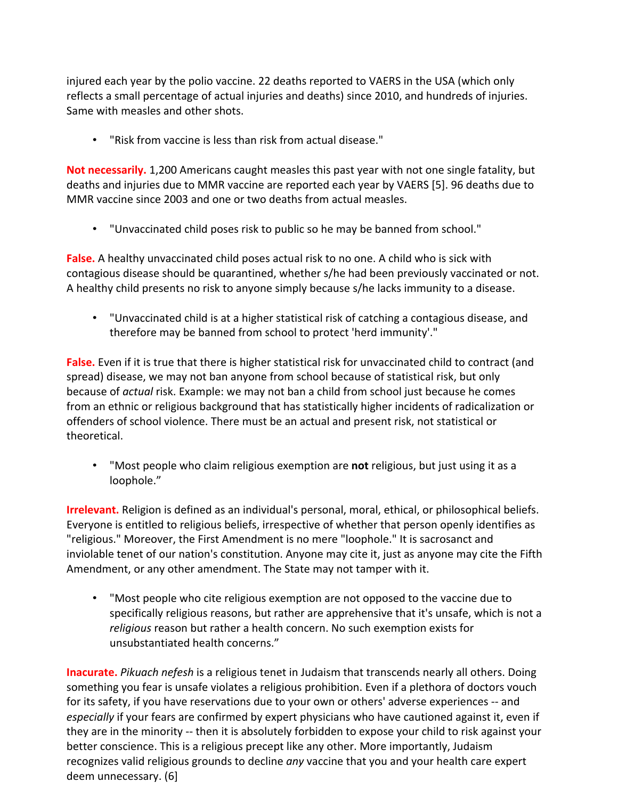injured each year by the polio vaccine. 22 deaths reported to VAERS in the USA (which only reflects a small percentage of actual injuries and deaths) since 2010, and hundreds of injuries. Same with measles and other shots.

• "Risk from vaccine is less than risk from actual disease."

**Not necessarily.** 1,200 Americans caught measles this past year with not one single fatality, but deaths and injuries due to MMR vaccine are reported each year by VAERS [5]. 96 deaths due to MMR vaccine since 2003 and one or two deaths from actual measles.

• "Unvaccinated child poses risk to public so he may be banned from school."

**False.** A healthy unvaccinated child poses actual risk to no one. A child who is sick with contagious disease should be quarantined, whether s/he had been previously vaccinated or not. A healthy child presents no risk to anyone simply because s/he lacks immunity to a disease.

• "Unvaccinated child is at a higher statistical risk of catching a contagious disease, and therefore may be banned from school to protect 'herd immunity'."

**False.** Even if it is true that there is higher statistical risk for unvaccinated child to contract (and spread) disease, we may not ban anyone from school because of statistical risk, but only because of *actual* risk. Example: we may not ban a child from school just because he comes from an ethnic or religious background that has statistically higher incidents of radicalization or offenders of school violence. There must be an actual and present risk, not statistical or theoretical.

• "Most people who claim religious exemption are **not** religious, but just using it as a loophole."

**Irrelevant.** Religion is defined as an individual's personal, moral, ethical, or philosophical beliefs. Everyone is entitled to religious beliefs, irrespective of whether that person openly identifies as "religious." Moreover, the First Amendment is no mere "loophole." It is sacrosanct and inviolable tenet of our nation's constitution. Anyone may cite it, just as anyone may cite the Fifth Amendment, or any other amendment. The State may not tamper with it.

• "Most people who cite religious exemption are not opposed to the vaccine due to specifically religious reasons, but rather are apprehensive that it's unsafe, which is not a *religious* reason but rather a health concern. No such exemption exists for unsubstantiated health concerns."

**Inacurate.** *Pikuach nefesh* is a religious tenet in Judaism that transcends nearly all others. Doing something you fear is unsafe violates a religious prohibition. Even if a plethora of doctors vouch for its safety, if you have reservations due to your own or others' adverse experiences -- and *especially* if your fears are confirmed by expert physicians who have cautioned against it, even if they are in the minority -- then it is absolutely forbidden to expose your child to risk against your better conscience. This is a religious precept like any other. More importantly, Judaism recognizes valid religious grounds to decline *any* vaccine that you and your health care expert deem unnecessary. (6]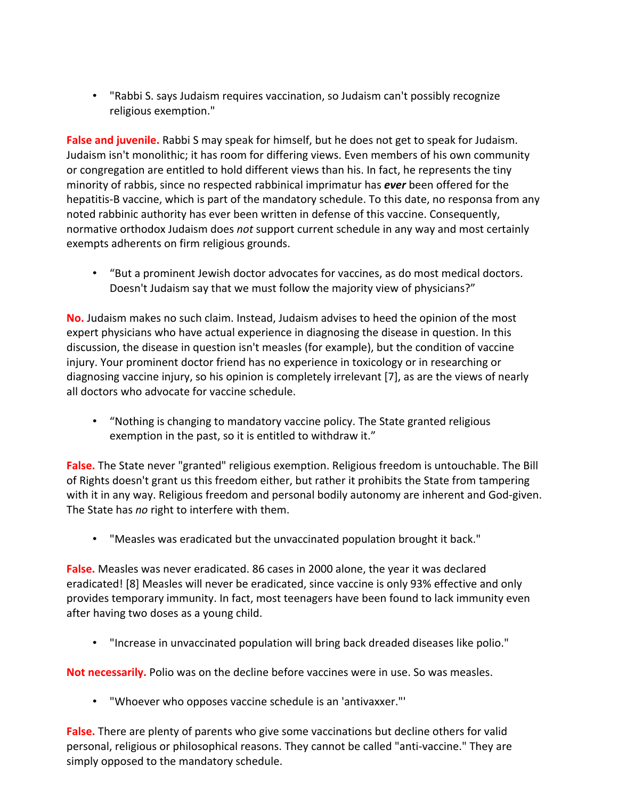• "Rabbi S. says Judaism requires vaccination, so Judaism can't possibly recognize religious exemption."

**False and juvenile.** Rabbi S may speak for himself, but he does not get to speak for Judaism. Judaism isn't monolithic; it has room for differing views. Even members of his own community or congregation are entitled to hold different views than his. In fact, he represents the tiny minority of rabbis, since no respected rabbinical imprimatur has *ever* been offered for the hepatitis-B vaccine, which is part of the mandatory schedule. To this date, no responsa from any noted rabbinic authority has ever been written in defense of this vaccine. Consequently, normative orthodox Judaism does *not* support current schedule in any way and most certainly exempts adherents on firm religious grounds.

• "But a prominent Jewish doctor advocates for vaccines, as do most medical doctors. Doesn't Judaism say that we must follow the majority view of physicians?"

**No.** Judaism makes no such claim. Instead, Judaism advises to heed the opinion of the most expert physicians who have actual experience in diagnosing the disease in question. In this discussion, the disease in question isn't measles (for example), but the condition of vaccine injury. Your prominent doctor friend has no experience in toxicology or in researching or diagnosing vaccine injury, so his opinion is completely irrelevant [7], as are the views of nearly all doctors who advocate for vaccine schedule.

• "Nothing is changing to mandatory vaccine policy. The State granted religious exemption in the past, so it is entitled to withdraw it."

**False.** The State never "granted" religious exemption. Religious freedom is untouchable. The Bill of Rights doesn't grant us this freedom either, but rather it prohibits the State from tampering with it in any way. Religious freedom and personal bodily autonomy are inherent and God-given. The State has *no* right to interfere with them.

• "Measles was eradicated but the unvaccinated population brought it back."

**False.** Measles was never eradicated. 86 cases in 2000 alone, the year it was declared eradicated! [8] Measles will never be eradicated, since vaccine is only 93% effective and only provides temporary immunity. In fact, most teenagers have been found to lack immunity even after having two doses as a young child.

• "Increase in unvaccinated population will bring back dreaded diseases like polio."

**Not necessarily.** Polio was on the decline before vaccines were in use. So was measles.

• "Whoever who opposes vaccine schedule is an 'antivaxxer."'

**False.** There are plenty of parents who give some vaccinations but decline others for valid personal, religious or philosophical reasons. They cannot be called "anti-vaccine." They are simply opposed to the mandatory schedule.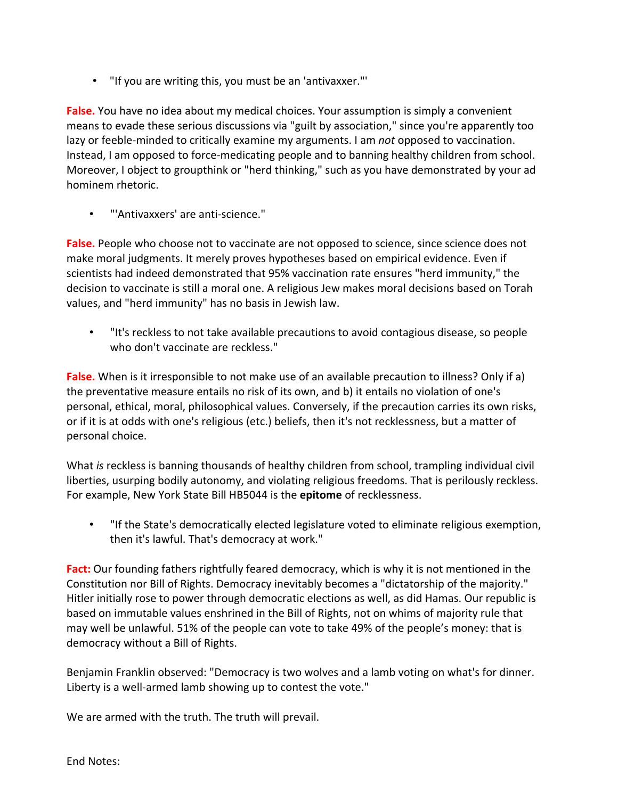• "If you are writing this, you must be an 'antivaxxer."'

**False.** You have no idea about my medical choices. Your assumption is simply a convenient means to evade these serious discussions via "guilt by association," since you're apparently too lazy or feeble-minded to critically examine my arguments. I am *not* opposed to vaccination. Instead, I am opposed to force-medicating people and to banning healthy children from school. Moreover, I object to groupthink or "herd thinking," such as you have demonstrated by your ad hominem rhetoric.

• "'Antivaxxers' are anti-science."

False. People who choose not to vaccinate are not opposed to science, since science does not make moral judgments. It merely proves hypotheses based on empirical evidence. Even if scientists had indeed demonstrated that 95% vaccination rate ensures "herd immunity," the decision to vaccinate is still a moral one. A religious Jew makes moral decisions based on Torah values, and "herd immunity" has no basis in Jewish law.

• "It's reckless to not take available precautions to avoid contagious disease, so people who don't vaccinate are reckless."

**False.** When is it irresponsible to not make use of an available precaution to illness? Only if a) the preventative measure entails no risk of its own, and b) it entails no violation of one's personal, ethical, moral, philosophical values. Conversely, if the precaution carries its own risks, or if it is at odds with one's religious (etc.) beliefs, then it's not recklessness, but a matter of personal choice.

What *is* reckless is banning thousands of healthy children from school, trampling individual civil liberties, usurping bodily autonomy, and violating religious freedoms. That is perilously reckless. For example, New York State Bill HB5044 is the **epitome** of recklessness.

• "If the State's democratically elected legislature voted to eliminate religious exemption, then it's lawful. That's democracy at work."

**Fact:** Our founding fathers rightfully feared democracy, which is why it is not mentioned in the Constitution nor Bill of Rights. Democracy inevitably becomes a "dictatorship of the majority." Hitler initially rose to power through democratic elections as well, as did Hamas. Our republic is based on immutable values enshrined in the Bill of Rights, not on whims of majority rule that may well be unlawful. 51% of the people can vote to take 49% of the people's money: that is democracy without a Bill of Rights.

Benjamin Franklin observed: "Democracy is two wolves and a lamb voting on what's for dinner. Liberty is a well-armed lamb showing up to contest the vote."

We are armed with the truth. The truth will prevail.